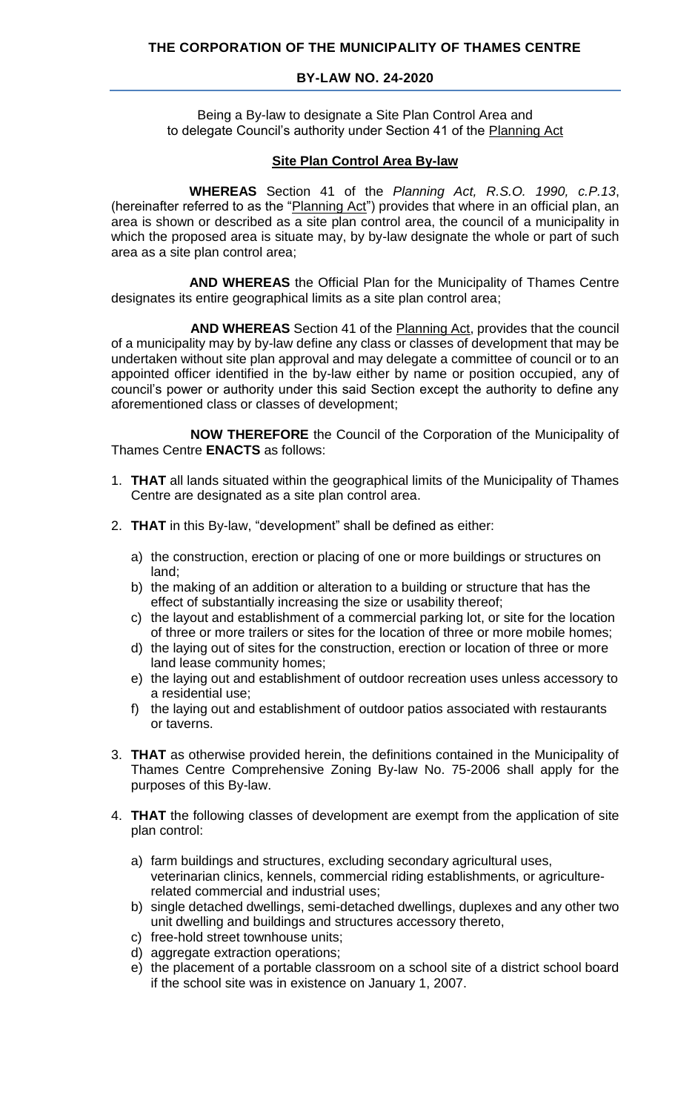## **BY-LAW NO. 24-2020**

Being a By-law to designate a Site Plan Control Area and to delegate Council's authority under Section 41 of the Planning Act

## **Site Plan Control Area By-law**

**WHEREAS** Section 41 of the *Planning Act, R.S.O. 1990, c.P.13*, (hereinafter referred to as the "Planning Act") provides that where in an official plan, an area is shown or described as a site plan control area, the council of a municipality in which the proposed area is situate may, by by-law designate the whole or part of such area as a site plan control area;

**AND WHEREAS** the Official Plan for the Municipality of Thames Centre designates its entire geographical limits as a site plan control area;

**AND WHEREAS** Section 41 of the Planning Act, provides that the council of a municipality may by by-law define any class or classes of development that may be undertaken without site plan approval and may delegate a committee of council or to an appointed officer identified in the by-law either by name or position occupied, any of council's power or authority under this said Section except the authority to define any aforementioned class or classes of development;

**NOW THEREFORE** the Council of the Corporation of the Municipality of Thames Centre **ENACTS** as follows:

- 1. **THAT** all lands situated within the geographical limits of the Municipality of Thames Centre are designated as a site plan control area.
- 2. **THAT** in this By-law, "development" shall be defined as either:
	- a) the construction, erection or placing of one or more buildings or structures on land;
	- b) the making of an addition or alteration to a building or structure that has the effect of substantially increasing the size or usability thereof;
	- c) the layout and establishment of a commercial parking lot, or site for the location of three or more trailers or sites for the location of three or more mobile homes;
	- d) the laying out of sites for the construction, erection or location of three or more land lease community homes;
	- e) the laying out and establishment of outdoor recreation uses unless accessory to a residential use;
	- f) the laying out and establishment of outdoor patios associated with restaurants or taverns.
- 3. **THAT** as otherwise provided herein, the definitions contained in the Municipality of Thames Centre Comprehensive Zoning By-law No. 75-2006 shall apply for the purposes of this By-law.
- 4. **THAT** the following classes of development are exempt from the application of site plan control:
	- a) farm buildings and structures, excluding secondary agricultural uses, veterinarian clinics, kennels, commercial riding establishments, or agriculturerelated commercial and industrial uses;
	- b) single detached dwellings, semi-detached dwellings, duplexes and any other two unit dwelling and buildings and structures accessory thereto,
	- c) free-hold street townhouse units;
	- d) aggregate extraction operations;
	- e) the placement of a portable classroom on a school site of a district school board if the school site was in existence on January 1, 2007.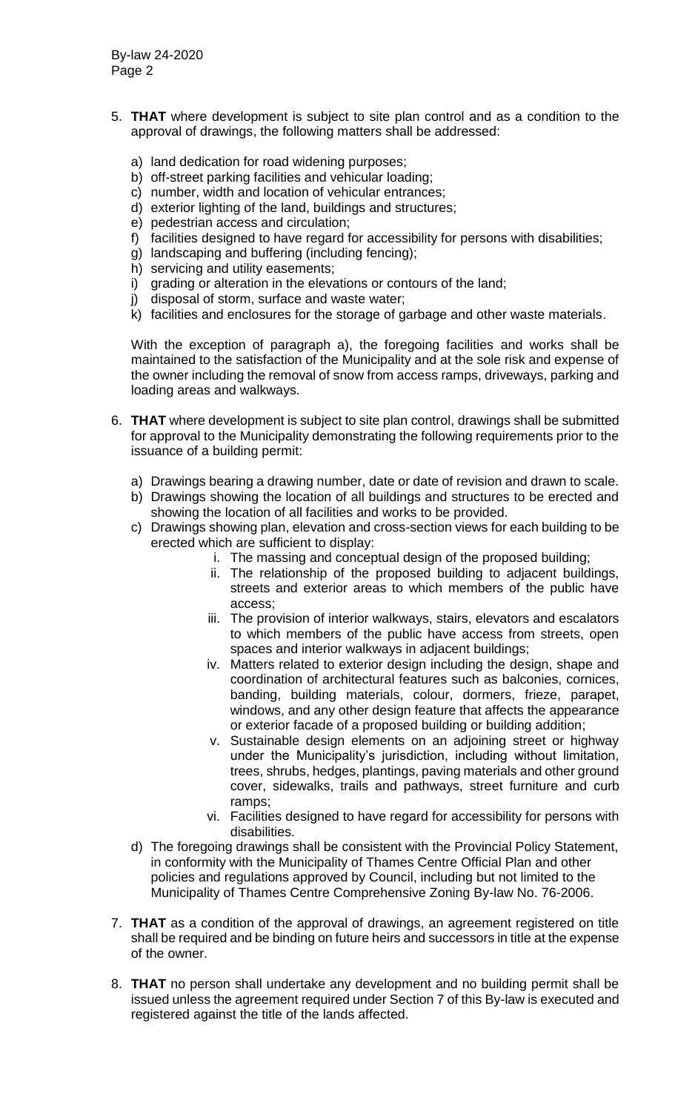- 5. **THAT** where development is subject to site plan control and as a condition to the approval of drawings, the following matters shall be addressed:
	- a) land dedication for road widening purposes;
	- b) off-street parking facilities and vehicular loading;
	- c) number, width and location of vehicular entrances;
	- d) exterior lighting of the land, buildings and structures;
	- e) pedestrian access and circulation;
	- f) facilities designed to have regard for accessibility for persons with disabilities;
	- g) landscaping and buffering (including fencing);
	- h) servicing and utility easements;
	- i) grading or alteration in the elevations or contours of the land;
	- j) disposal of storm, surface and waste water;
	- k) facilities and enclosures for the storage of garbage and other waste materials.

With the exception of paragraph a), the foregoing facilities and works shall be maintained to the satisfaction of the Municipality and at the sole risk and expense of the owner including the removal of snow from access ramps, driveways, parking and loading areas and walkways.

- 6. **THAT** where development is subject to site plan control, drawings shall be submitted for approval to the Municipality demonstrating the following requirements prior to the issuance of a building permit:
	- a) Drawings bearing a drawing number, date or date of revision and drawn to scale.
	- b) Drawings showing the location of all buildings and structures to be erected and showing the location of all facilities and works to be provided.
	- c) Drawings showing plan, elevation and cross-section views for each building to be erected which are sufficient to display:
		- i. The massing and conceptual design of the proposed building;
		- ii. The relationship of the proposed building to adjacent buildings, streets and exterior areas to which members of the public have access;
		- iii. The provision of interior walkways, stairs, elevators and escalators to which members of the public have access from streets, open spaces and interior walkways in adjacent buildings;
		- iv. Matters related to exterior design including the design, shape and coordination of architectural features such as balconies, cornices, banding, building materials, colour, dormers, frieze, parapet, windows, and any other design feature that affects the appearance or exterior facade of a proposed building or building addition;
		- v. Sustainable design elements on an adjoining street or highway under the Municipality's jurisdiction, including without limitation, trees, shrubs, hedges, plantings, paving materials and other ground cover, sidewalks, trails and pathways, street furniture and curb ramps;
		- vi. Facilities designed to have regard for accessibility for persons with disabilities.
	- d) The foregoing drawings shall be consistent with the Provincial Policy Statement, in conformity with the Municipality of Thames Centre Official Plan and other policies and regulations approved by Council, including but not limited to the Municipality of Thames Centre Comprehensive Zoning By-law No. 76-2006.
- 7. **THAT** as a condition of the approval of drawings, an agreement registered on title shall be required and be binding on future heirs and successors in title at the expense of the owner.
- 8. **THAT** no person shall undertake any development and no building permit shall be issued unless the agreement required under Section 7 of this By-law is executed and registered against the title of the lands affected.